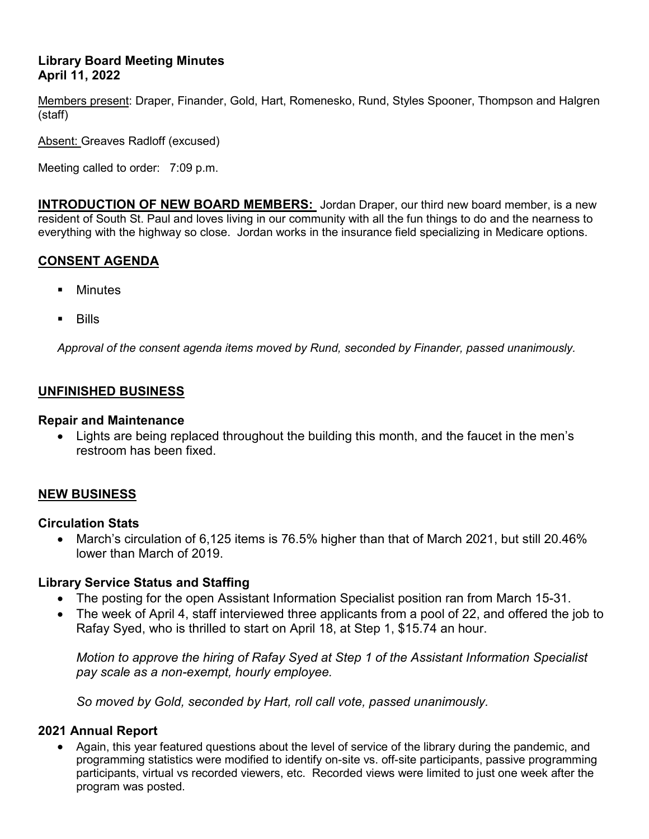# **Library Board Meeting Minutes April 11, 2022**

Members present: Draper, Finander, Gold, Hart, Romenesko, Rund, Styles Spooner, Thompson and Halgren (staff)

Absent: Greaves Radloff (excused)

Meeting called to order: 7:09 p.m.

**INTRODUCTION OF NEW BOARD MEMBERS:** Jordan Draper, our third new board member, is a new resident of South St. Paul and loves living in our community with all the fun things to do and the nearness to everything with the highway so close. Jordan works in the insurance field specializing in Medicare options.

# **CONSENT AGENDA**

- Minutes
- **Bills**

*Approval of the consent agenda items moved by Rund, seconded by Finander, passed unanimously.*

### **UNFINISHED BUSINESS**

#### **Repair and Maintenance**

• Lights are being replaced throughout the building this month, and the faucet in the men's restroom has been fixed.

# **NEW BUSINESS**

#### **Circulation Stats**

• March's circulation of 6,125 items is 76.5% higher than that of March 2021, but still 20.46% lower than March of 2019.

#### **Library Service Status and Staffing**

- The posting for the open Assistant Information Specialist position ran from March 15-31.
- The week of April 4, staff interviewed three applicants from a pool of 22, and offered the job to Rafay Syed, who is thrilled to start on April 18, at Step 1, \$15.74 an hour.

*Motion to approve the hiring of Rafay Syed at Step 1 of the Assistant Information Specialist pay scale as a non-exempt, hourly employee.*

*So moved by Gold, seconded by Hart, roll call vote, passed unanimously.* 

#### **2021 Annual Report**

• Again, this year featured questions about the level of service of the library during the pandemic, and programming statistics were modified to identify on-site vs. off-site participants, passive programming participants, virtual vs recorded viewers, etc. Recorded views were limited to just one week after the program was posted.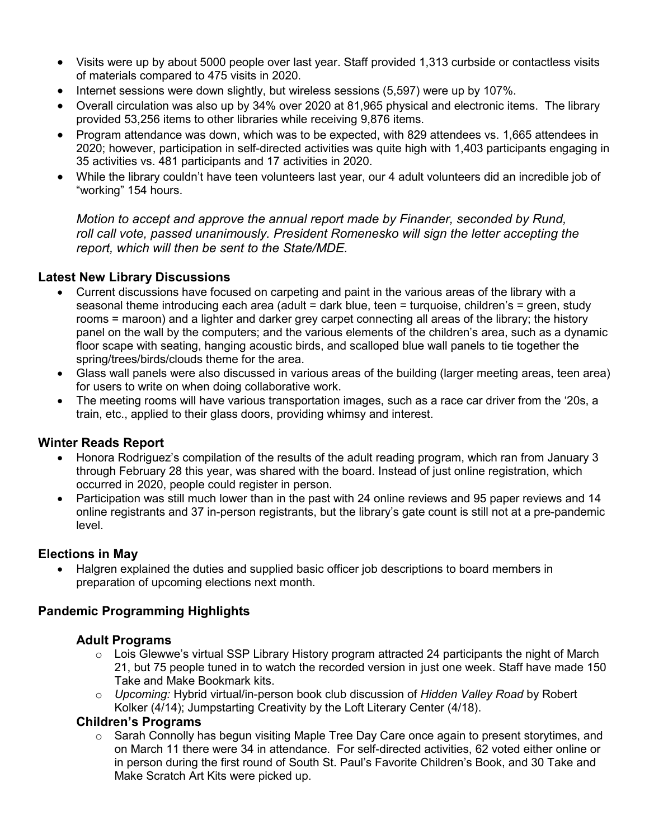- Visits were up by about 5000 people over last year. Staff provided 1,313 curbside or contactless visits of materials compared to 475 visits in 2020.
- Internet sessions were down slightly, but wireless sessions (5,597) were up by 107%.
- Overall circulation was also up by 34% over 2020 at 81,965 physical and electronic items. The library provided 53,256 items to other libraries while receiving 9,876 items.
- Program attendance was down, which was to be expected, with 829 attendees vs. 1,665 attendees in 2020; however, participation in self-directed activities was quite high with 1,403 participants engaging in 35 activities vs. 481 participants and 17 activities in 2020.
- While the library couldn't have teen volunteers last year, our 4 adult volunteers did an incredible job of "working" 154 hours.

*Motion to accept and approve the annual report made by Finander, seconded by Rund, roll call vote, passed unanimously. President Romenesko will sign the letter accepting the report, which will then be sent to the State/MDE.* 

### **Latest New Library Discussions**

- Current discussions have focused on carpeting and paint in the various areas of the library with a seasonal theme introducing each area (adult = dark blue, teen = turquoise, children's = green, study rooms = maroon) and a lighter and darker grey carpet connecting all areas of the library; the history panel on the wall by the computers; and the various elements of the children's area, such as a dynamic floor scape with seating, hanging acoustic birds, and scalloped blue wall panels to tie together the spring/trees/birds/clouds theme for the area.
- Glass wall panels were also discussed in various areas of the building (larger meeting areas, teen area) for users to write on when doing collaborative work.
- The meeting rooms will have various transportation images, such as a race car driver from the '20s, a train, etc., applied to their glass doors, providing whimsy and interest.

# **Winter Reads Report**

- Honora Rodriguez's compilation of the results of the adult reading program, which ran from January 3 through February 28 this year, was shared with the board. Instead of just online registration, which occurred in 2020, people could register in person.
- Participation was still much lower than in the past with 24 online reviews and 95 paper reviews and 14 online registrants and 37 in-person registrants, but the library's gate count is still not at a pre-pandemic level.

# **Elections in May**

• Halgren explained the duties and supplied basic officer job descriptions to board members in preparation of upcoming elections next month.

# **Pandemic Programming Highlights**

#### **Adult Programs**

- o Lois Glewwe's virtual SSP Library History program attracted 24 participants the night of March 21, but 75 people tuned in to watch the recorded version in just one week. Staff have made 150 Take and Make Bookmark kits.
- o *Upcoming:* Hybrid virtual/in-person book club discussion of *Hidden Valley Road* by Robert Kolker (4/14); Jumpstarting Creativity by the Loft Literary Center (4/18).

#### **Children's Programs**

 $\circ$  Sarah Connolly has begun visiting Maple Tree Day Care once again to present storytimes, and on March 11 there were 34 in attendance. For self-directed activities, 62 voted either online or in person during the first round of South St. Paul's Favorite Children's Book, and 30 Take and Make Scratch Art Kits were picked up.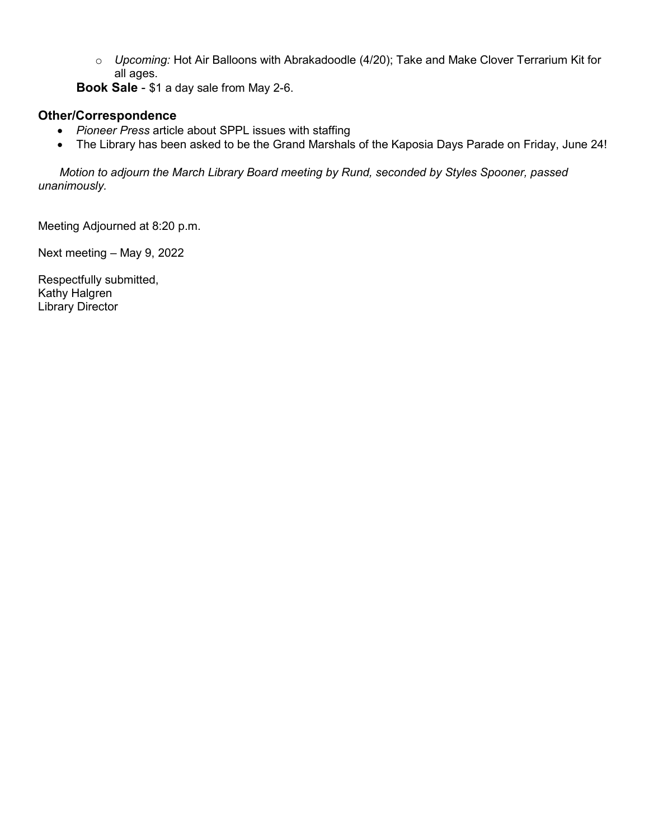o *Upcoming:* Hot Air Balloons with Abrakadoodle (4/20); Take and Make Clover Terrarium Kit for all ages.

**Book Sale** - \$1 a day sale from May 2-6.

# **Other/Correspondence**

- *Pioneer Press* article about SPPL issues with staffing
- The Library has been asked to be the Grand Marshals of the Kaposia Days Parade on Friday, June 24!

 *Motion to adjourn the March Library Board meeting by Rund, seconded by Styles Spooner, passed unanimously.*

Meeting Adjourned at 8:20 p.m.

Next meeting – May 9, 2022

Respectfully submitted, Kathy Halgren Library Director